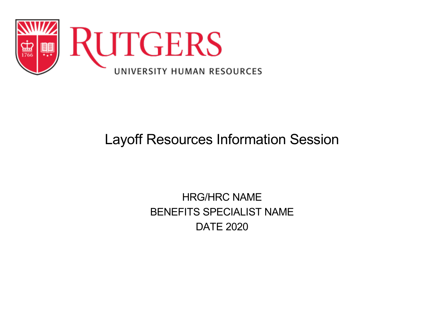

## Layoff Resources Information Session

### HRG/HRC NAME BENEFITS SPECIALIST NAME DATE 2020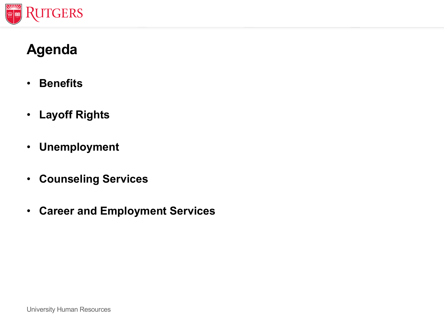

# **Agenda**

- **Benefits**
- **Layoff Rights**
- **Unemployment**
- **Counseling Services**
- **Career and Employment Services**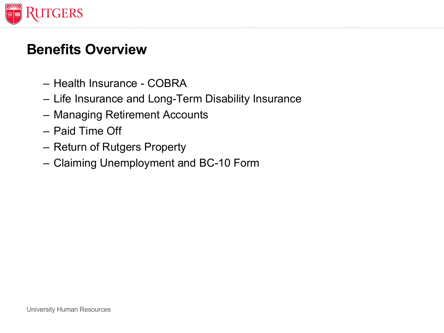

## **Benefits Overview**

- Health Insurance COBRA
- Life Insurance and Long-Term Disability Insurance
- Managing Retirement Accounts
- Paid Time Off
- Return of Rutgers Property
- Claiming Unemployment and BC-10 Form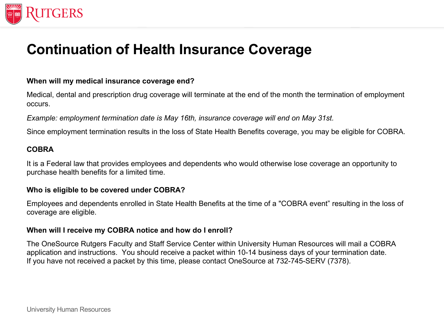

## **Continuation of Health Insurance Coverage**

#### **When will my medical insurance coverage end?**

Medical, dental and prescription drug coverage will terminate at the end of the month the termination of employment occurs.

*Example: employment termination date is May 16th, insurance coverage will end on May 31st.* 

Since employment termination results in the loss of State Health Benefits coverage, you may be eligible for COBRA.

#### **COBRA**

It is a Federal law that provides employees and dependents who would otherwise lose coverage an opportunity to purchase health benefits for a limited time.

#### **Who is eligible to be covered under COBRA?**

Employees and dependents enrolled in State Health Benefits at the time of a "COBRA event" resulting in the loss of coverage are eligible.

#### **When will I receive my COBRA notice and how do I enroll?**

The OneSource Rutgers Faculty and Staff Service Center within University Human Resources will mail a COBRA application and instructions. You should receive a packet within 10-14 business days of your termination date. If you have not received a packet by this time, please contact OneSource at 732-745-SERV (7378).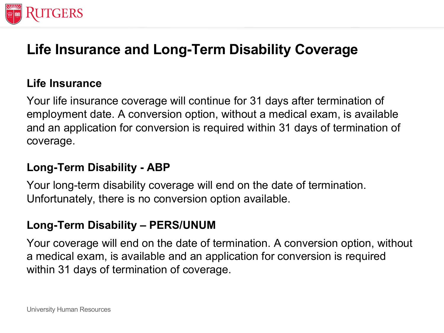

# **Life Insurance and Long-Term Disability Coverage**

#### **Life Insurance**

Your life insurance coverage will continue for 31 days after termination of employment date. A conversion option, without a medical exam, is available and an application for conversion is required within 31 days of termination of coverage.

### **Long-Term Disability - ABP**

Your long-term disability coverage will end on the date of termination. Unfortunately, there is no conversion option available.

### **Long-Term Disability – PERS/UNUM**

Your coverage will end on the date of termination. A conversion option, without a medical exam, is available and an application for conversion is required within 31 days of termination of coverage.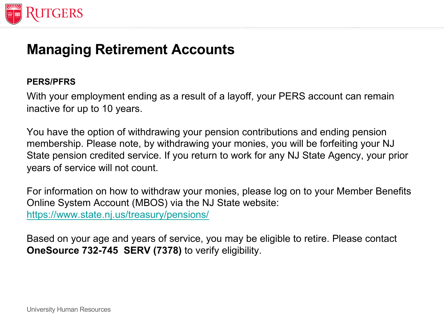

# **[Managing Retirement Accou](https://www.state.nj.us/treasury/pensions/)nts**

#### **PERS/PFRS**

With your employment ending as a result of a layoff, your PERS account can ren inactive for up to 10 years.

You have the option of withdrawing your pension contributions and ending pension membership. Please note, by withdrawing your monies, you will be forfeiting you State pension credited service. If you return to work for any NJ State Agency, yo years of service will not count.

For information on how to withdraw your monies, please log on to your Member I Online System Account (MBOS) via the NJ State website: https://www.state.nj.us/treasury/pensions/

Based on your age and years of service, you may be eligible to retire. Please contacts **OneSource 732-745 SERV (7378)** to verify eligibility.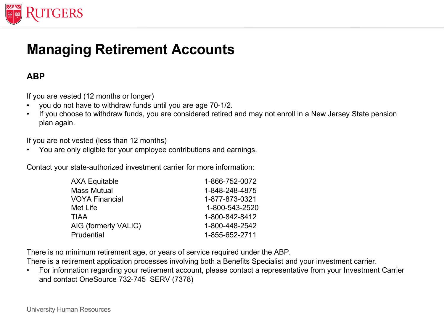

### **Managing Retirement Accounts**

#### **ABP**

If you are vested (12 months or longer)

- you do not have to withdraw funds until you are age 70-1/2.
- If you choose to withdraw funds, you are considered retired and may not enroll in a New Jersey State pension plan again.

If you are not vested (less than 12 months)

• You are only eligible for your employee contributions and earnings.

Contact your state-authorized investment carrier for more information:

| AXA Equitable        | 1-866-752-0072 |
|----------------------|----------------|
| Mass Mutual          | 1-848-248-4875 |
| VOYA Financial       | 1-877-873-0321 |
| Met Life             | 1-800-543-2520 |
| TIAA                 | 1-800-842-8412 |
| AIG (formerly VALIC) | 1-800-448-2542 |
| Prudential           | 1-855-652-2711 |
|                      |                |

There is no minimum retirement age, or years of service required under the ABP.

There is a retirement application processes involving both a Benefits Specialist and your investment carrier.

• For information regarding your retirement account, please contact a representative from your Investment Carrier and contact OneSource 732-745 SERV (7378)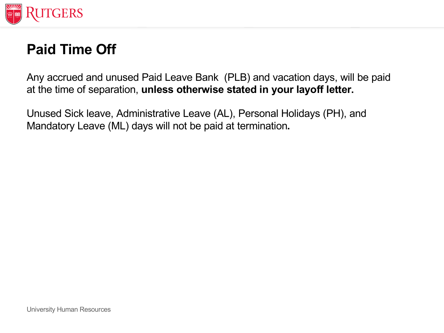

# **Paid Time Off**

Any accrued and unused Paid Leave Bank (PLB) and vacation days, will be paid at the time of separation, **unless otherwise stated in your layoff letter.**

Unused Sick leave, Administrative Leave (AL), Personal Holidays (PH), and Mandatory Leave (ML) days will not be paid at termination**.**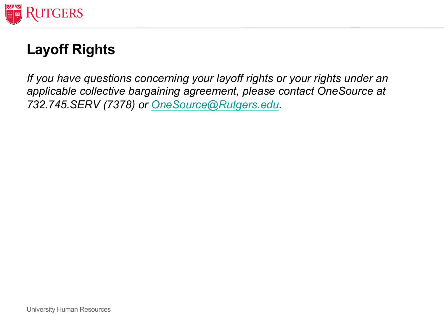

# **Layoff Rights**

If you have questions concerning your layoff rights or your rights under a applicable collective bargaining agreement, please contact OneSource *732.745.SERV (7378) or OneSource@Rutgers.edu.*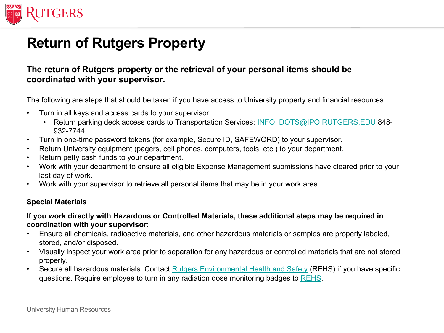

## **Return of Rutgers Property**

#### **The return of Rutgers property or the retrieval of your personal items should be coordinated with your supervisor.**

The following are steps that should be taken if you have access to University property and financial resource

- Turn in all keys and access cards to you[r supervisor.](http://rehs.rutgers.edu/)
	- Return parking deck access cards to Transportation Services: INFO\_DOTS[@IPO.](http://rehs.rutgers.edu/)RUTGERS.EDU 932-7744
- Turn in one-time password tokens (for example, Secure ID, SAFEWORD) to your supervisor.
- Return University equipment (pagers, cell phones, computers, tools, etc.) to your department.
- Return petty cash funds to your department.
- Work with your department to ensure all eligible Expense Management submissions have cleared prior to last day of work.
- Work with your supervisor to retrieve all personal items that may be in your work area.

#### **Special Materials**

#### If you work directly with Hazardous or Controlled Materials, these additional steps may be required **coordination with your supervisor:**

- Ensure all chemicals, radioactive materials, and other hazardous materials or samples are properly labe stored, and/or disposed.
- Visually inspect your work area prior to separation for any hazardous or controlled materials that are not properly.
- Secure all hazardous materials. Contact **Rutgers Environmental Health and Safety** (REHS) if you have s questions. Require employee to turn in any radiation dose monitoring badges to REHS.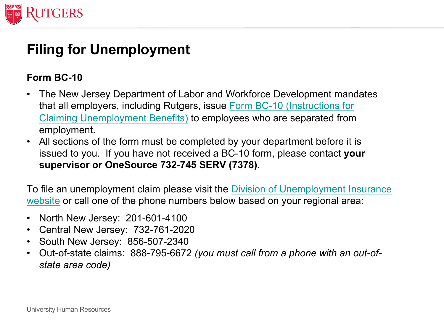

# **[Filing for Unemployment](https://myunemployment.nj.gov/before/about/howtoapply/applyonline.shtml)**

#### **Form BC-10**

- The New Jersey Department of Labor and Workforce Development mandates that all employers, including Rutgers, issue Form BC-10 (Instructions for Claiming Unemployment Benefits) to employees who are separated from employment.
- All sections of the form must be completed by your department before it is issued to you. If you have not received a BC-10 form, please contact **your supervisor or OneSource 732-745 SERV (7378).**

To file an unemployment claim please visit the Division of Unemployment Insural website or call one of the phone numbers below based on your regional area:

- North New Jersey: 201-601-4100
- Central New Jersey: 732-761-2020
- South New Jersey: 856-507-2340
- Out-of-state claims: 888-795-6672 *(you must call from a phone with an out-ofstate area code)*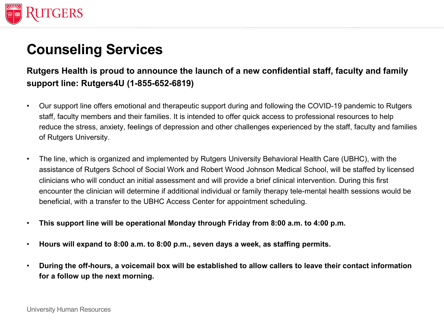

## **Counseling Services**

#### **Rutgers Health is proud to announce the launch of a new confidential staff, faculty and family support line: Rutgers4U (1-855-652-6819)**

- Our support line offers emotional and therapeutic support during and following the COVID-19 pandemic to Rutgers staff, faculty members and their families. It is intended to offer quick access to professional resources to help reduce the stress, anxiety, feelings of depression and other challenges experienced by the staff, faculty and families of Rutgers University.
- The line, which is organized and implemented by Rutgers University Behavioral Health Care (UBHC), with the assistance of Rutgers School of Social Work and Robert Wood Johnson Medical School, will be staffed by licensed clinicians who will conduct an initial assessment and will provide a brief clinical intervention. During this first encounter the clinician will determine if additional individual or family therapy tele-mental health sessions would be beneficial, with a transfer to the UBHC Access Center for appointment scheduling.
- **This support line will be operational Monday through Friday from 8:00 a.m. to 4:00 p.m.**
- **Hours will expand to 8:00 a.m. to 8:00 p.m., seven days a week, as staffing permits.**
- **During the off-hours, a voicemail box will be established to allow callers to leave their contact information for a follow up the next morning.**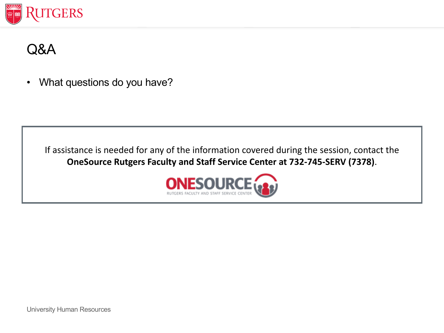

Q&A

• What questions do you have?

If assistance is needed for any of the information covered during the session, contact the **OneSource Rutgers Faculty and Staff Service Center at 732-745-SERV (7378)**.



University Human Resources